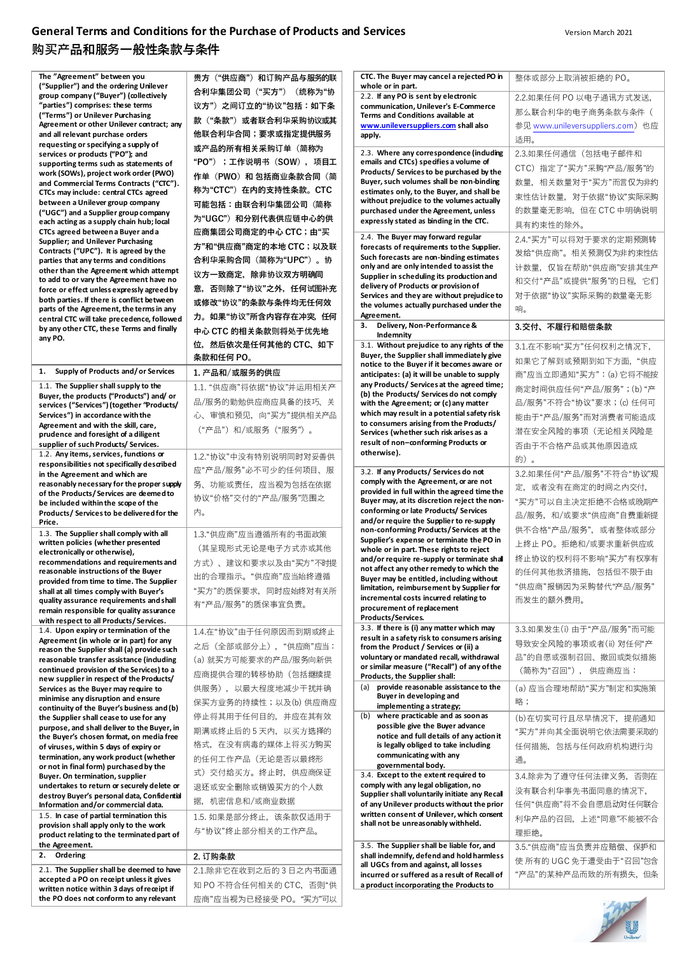## **General Terms and Conditions for the Purchase of Products and Services** Version March 2021 **购买产品和服务一般性条款与条件**

| The "Agreement" between you<br>("Supplier") and the ordering Unilever                    | 贵方("供应商")和订购产品与服务的联     | CTC. The Buyer may cancel a rejected PO in<br>whole or in part.                             | 整体或部分上取消被拒绝的 PO。                 |
|------------------------------------------------------------------------------------------|-------------------------|---------------------------------------------------------------------------------------------|----------------------------------|
| group company ("Buyer") (collectively                                                    | 合利华集团公司 ("买方") (统称为"协   | 2.2. If any PO is sent by electronic                                                        | 2.2.如果任何 PO 以电子通讯方式发送,           |
| "parties") comprises: these terms                                                        | 议方") 之间订立的"协议"包括:如下条    | communication, Unilever's E-Commerce                                                        | 那么联合利华的电子商务条款与条件(                |
| ("Terms") or Unilever Purchasing<br>Agreement or other Unilever contract; any            | 款("条款")或者联合利华采购协议或其     | Terms and Conditions available at<br>www.unileversuppliers.com shall also                   | 参见 www.unileversuppliers.com) 也应 |
| and all relevant purchase orders                                                         | 他联合利华合同;要求或指定提供服务       | apply.                                                                                      | 适用。                              |
| requesting or specifying a supply of                                                     | 或产品的所有相关采购订单(简称为        | 2.3. Where any correspondence (induding                                                     | 2.3.如果任何通信 (包括电子邮件和              |
| services or products ("PO"); and<br>supporting terms such as statements of               | "PO");工作说明书(SOW),项目工    | emails and CTCs) specifies a volume of                                                      |                                  |
| work (SOWs), project work order (PWO)                                                    | 作单 (PWO) 和 包括商业条款合同 (简  | Products/ Services to be purchased by the                                                   | CTC) 指定了"买方"采购"产品/服务"的           |
| and Commercial Terms Contracts ("CTC").<br>CTCs may include: central CTCs agreed         | 称为"CTC")在内的支持性条款。CTC    | Buyer, such volumes shall be non-binding<br>estimates only, to the Buyer, and shall be      | 数量, 相关数量对于"买方"而言仅为非约             |
| between a Unilever group company                                                         | 可能包括:由联合利华集团公司(简称       | without prejudice to the volumes actually                                                   | 束性估计数量,对于依据"协议"实际采购              |
| ("UGC") and a Supplier group company                                                     | 为"UGC")和分别代表供应链中心的供     | purchased under the Agreement, unless<br>expressly stated as binding in the CTC.            | 的数量毫无影响,但在 CTC 中明确说明             |
| each acting as a supply chain hub; local<br>CTCs agreed between a Buyer and a            | 应商集团公司商定的中心 CTC;由"买     |                                                                                             | 具有约束性的除外。                        |
| Supplier; and Unilever Purchasing                                                        | 方"和"供应商"商定的本地 CTC; 以及联  | 2.4. The Buyer may forward regular<br>forecasts of requirements to the Supplier.            | 2.4."买方"可以将对于要求的定期预测转            |
| Contracts ("UPC"). It is agreed by the<br>parties that any terms and conditions          | 合利华采购合同 (简称为"UPC") 。协   | Such forecasts are non-binding estimates                                                    | 发给"供应商"。相关预测仅为非约束性估              |
| other than the Agreement which attempt                                                   |                         | only and are only intended to assist the                                                    | 计数量, 仅旨在帮助"供应商"安排其生产             |
| to add to or vary the Agreement have no                                                  | 议方一致商定,除非协议双方明确同        | Supplier in scheduling its production and<br>delivery of Products or provision of           | 和交付"产品"或提供"服务"的日程, 它们            |
| force or effect unless expressly agreed by<br>both parties. If there is conflict between | 意,否则除了"协议"之外,任何试图补充     | Services and they are without prejudice to                                                  | 对于依据"协议"实际采购的数量毫无影               |
| parts of the Agreement, the terms in any                                                 | 或修改"协议"的条款与条件均无任何效      | the volumes actually purchased under the                                                    | 响。                               |
| central CTC will take precedence, followed                                               | 力。如果"协议"所含内容存在冲突, 任何    | Agreement.<br>3. Delivery, Non-Performance &                                                | 3.交付、不履行和赔偿条款                    |
| by any other CTC, these Terms and finally<br>any PO.                                     | 中心 CTC 的相关条款则将处于优先地     | <b>Indemnity</b>                                                                            |                                  |
|                                                                                          | 位, 然后依次是任何其他的 CTC、如下    | 3.1. Without prejudice to any rights of the                                                 | 3.1.在不影响"买方"任何权利之情况下,            |
|                                                                                          | 条款和任何 PO。               | Buyer, the Supplier shall immediately give<br>notice to the Buyer if it becomes aware or    | 如果它了解到或预期到如下方面, "供应              |
| Supply of Products and/or Services<br>1.                                                 | 1. 产品和/或服务的供应           | anticipates: (a) it will be unable to supply                                                | 商"应当立即通知"买方": (a) 它将不能按          |
| 1.1. The Supplier shall supply to the                                                    | 1.1. "供应商"将依据"协议"并运用相关产 | any Products/ Services at the agreed time;<br>(b) the Products/ Services do not comply      | 商定时间供应任何"产品/服务";(b)"产            |
| Buyer, the products ("Products") and/ or<br>services ("Services") (together "Products/   | 品/服务的勤勉供应商应具备的技巧、关      | with the Agreement; or (c) any matter                                                       | 品/服务"不符合"协议"要求;(c)任何可            |
| Services") in accordance with the                                                        | 心、审慎和预见,向"买方"提供相关产品     | which may result in a potential safety risk                                                 | 能由于"产品/服务"而对消费者可能造成              |
| Agreement and with the skill, care,                                                      | ("产品")和/或服务 ("服务")。     | to consumers arising from the Products/<br>Services (whether such risk arises as a          | 潜在安全风险的事项(无论相关风险是                |
| prudence and foresight of a diligent<br>supplier of such Products/ Services.             |                         | result of non-conforming Products or                                                        | 否由于不合格产品或其他原因造成                  |
| 1.2. Any items, services, functions or                                                   | 1.2."协议"中没有特别说明同时对妥善供   | otherwise).                                                                                 | 的)。                              |
| responsibilities not specifically described<br>in the Agreement and which are            | 应"产品/服务"必不可少的任何项目、服     | 3.2. If any Products/ Services do not                                                       | 3.2.如果任何"产品/服务"不符合"协议"规          |
| reasonably necessary for the proper supply                                               | 务、功能或责任, 应当视为包括在依据      | comply with the Agreement, or are not                                                       | 定, 或者没有在商定的时间之内交付,               |
| of the Products/Services are deemed to                                                   | 协议"价格"交付的"产品/服务"范围之     | provided in full within the agreed time the<br>Buyer may, at its discretion reject the non- |                                  |
| be included within the scope of the<br>Products/ Services to be delivered for the        | 内。                      | conforming or late Products/ Services                                                       | "买方"可以自主决定拒绝不合格或晚期产              |
| Price.                                                                                   |                         | and/or require the Supplier to re-supply                                                    | 品/服务, 和/或要求"供应商"自费重新提            |
| 1.3. The Supplier shall comply with all                                                  | 1.3."供应商"应当遵循所有的书面政策    | non-conforming Products/Services at the<br>Supplier's expense or terminate the PO in        | 供不合格"产品/服务", 或者整体或部分             |
| written policies (whether presented<br>electronically or otherwise),                     | (其呈现形式无论是电子方式亦或其他       | whole or in part. These rights to reject                                                    | 上终止 PO。拒绝和/或要求重新供应或              |
| recommendations and requirements and                                                     | 方式)、建议和要求以及由"买方"不时提     | and/or require re-supply or terminate shall<br>not affect any other remedy to which the     | 终止协议的权利将不影响"买方"有权享有              |
| reasonable instructions of the Buyer<br>provided from time to time. The Supplier         | 出的合理指示。"供应商"应当始终遵循      | Buyer may be entitled, including without                                                    | 的任何其他救济措施,包括但不限于由                |
| shall at all times comply with Buyer's                                                   | "买方"的质保要求,同时应始终对有关所     | limitation, reimbursement by Supplier for                                                   | "供应商"报销因为采购替代"产品/服务"             |
| quality assurance requirements and shall                                                 | 有"产品/服务"的质保事宜负责。        | incremental costs incurred relating to<br>procurement of replacement                        | 而发生的额外费用。                        |
| remain responsible for quality assurance<br>with respect to all Products/Services.       |                         | Products/Services.                                                                          |                                  |
| 1.4. Upon expiry or termination of the                                                   | 1.4.在"协议"由于任何原因而到期或终止   | 3.3. If there is (i) any matter which may                                                   | 3.3.如果发生(i) 由于"产品/服务"而可能         |
| Agreement (in whole or in part) for any<br>reason the Supplier shall (a) provide such    | 之后(全部或部分上), "供应商"应当:    | result in a safety risk to consumers arising<br>from the Product / Services or (ii) a       | 导致安全风险的事项或者(ii) 对任何"产            |
| reasonable transfer assistance (including                                                | (a) 就买方可能要求的产品/服务向新供    | voluntary or mandated recall, withdrawal                                                    | 品"的自愿或强制召回、撤回或类似措施               |
| continued provision of the Services) to a                                                | 应商提供合理的转移协助(包括继续提       | or similar measure ("Recall") of any of the<br>Products, the Supplier shall:                | (简称为"召回"), 供应商应当:                |
| new supplier in respect of the Products/<br>Services as the Buyer may require to         | 供服务), 以最大程度地减少干扰并确      | provide reasonable assistance to the<br>(a)                                                 | (a) 应当合理地帮助"买方"制定和实施策            |
| minimise any disruption and ensure                                                       | 保买方业务的持续性;以及(b) 供应商应    | Buyer in developing and                                                                     | 略;                               |
| continuity of the Buyer's business and (b)<br>the Supplier shall cease to use for any    | 停止将其用于任何目的,并应在其有效       | implementing a strategy;<br>where practicable and as soon as<br>(b)                         | (b) 在切实可行且尽早情况下, 提前通知            |
| purpose, and shall deliver to the Buyer, in                                              | 期满或终止后的5天内, 以买方选择的      | possible give the Buyer advance                                                             | "买方"并向其全面说明它依法需要采取的              |
| the Buyer's chosen format, on media free                                                 | 格式, 在没有病毒的媒体上将买方购买      | notice and full details of any action it<br>is legally obliged to take including            |                                  |
| of viruses, within 5 days of expiry or<br>termination, any work product (whether         | 的任何工作产品(无论是否以最终形        | communicating with any                                                                      | 任何措施,包括与任何政府机构进行沟                |
| or not in final form) purchased by the                                                   | 式) 交付给买方。终止时, 供应商保证     | governmental body.                                                                          | 通。                               |
| Buyer. On termination, supplier<br>undertakes to return or securely delete or            |                         | 3.4. Except to the extent required to<br>comply with any legal obligation, no               | 3.4.除非为了遵守任何法律义务,否则在             |
| destroy Buyer's personal data, Confidential                                              | 退还或安全删除或销毁买方的个人数        | Supplier shall voluntarily initiate any Recal                                               | 没有联合利华事先书面同意的情况下,                |
| Information and/or commercial data.                                                      | 据, 机密信息和/或商业数据          | of any Unilever products without the prior                                                  | 任何"供应商"将不会自愿启动对任何联合              |
| 1.5. In case of partial termination this<br>provision shall apply only to the work       | 1.5. 如果是部分终止, 该条款仅适用于   | written consent of Unilever, which consent<br>shall not be unreasonably withheld.           | 利华产品的召回, 上述"同意"不能被不合             |
| product relating to the terminated part of                                               | 与"协议"终止部分相关的工作产品。       |                                                                                             | 理拒绝。                             |
| the Agreement.                                                                           |                         | 3.5. The Supplier shall be liable for, and                                                  | 3.5."供应商"应当负责并应赔偿、保护和            |
| 2. Ordering                                                                              | 2. 订购条款                 | shall indemnify, defend and hold harmless<br>all UGCs from and against, all losses          | 使 所有的 UGC 免于遭受由于"召回"包含           |
| 2.1. The Supplier shall be deemed to have                                                | 2.1.除非它在收到之后的3日之内书面通    | incurred or suffered as a result of Recall of                                               | "产品"的某种产品而致的所有损失,但条              |
| accepted a PO on receipt unless it gives<br>written notice within 3 days of receipt if   | 知 PO 不符合任何相关的 CTC, 否则"供 | a product incorporating the Products to                                                     |                                  |
| the PO does not conform to any relevant                                                  | 应商"应当视为已经接受 PO。"买方"可以   |                                                                                             |                                  |

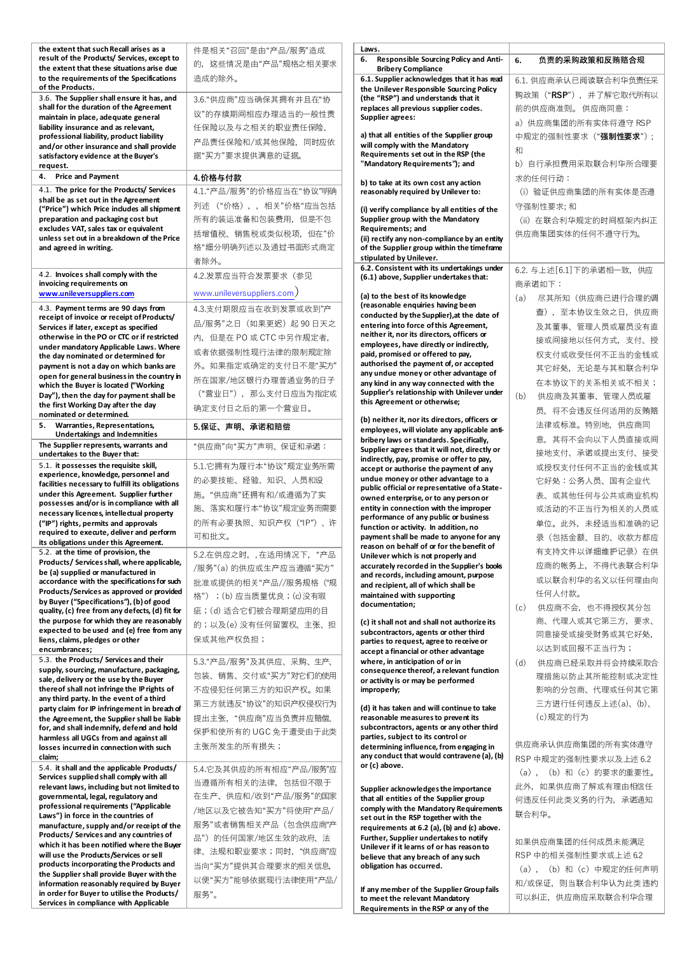| the extent that such Recall arises as a                                                     | 件是相关"召回"是由"产品/服务"造成        |
|---------------------------------------------------------------------------------------------|----------------------------|
| result of the Products/ Services, except to<br>the extent that these situations arise due   | 的,这些情况是由"产品"规格之相关要求        |
| to the requirements of the Specifications                                                   | 造成的除外。                     |
| of the Products.                                                                            |                            |
| 3.6. The Supplier shall ensure it has, and<br>shall for the duration of the Agreement       | 3.6."供应商"应当确保其拥有并且在"协      |
| maintain in place, adequate general                                                         | 议"的存续期间相应办理适当的一般性责         |
| liability insurance and as relevant,                                                        | 任保险以及与之相关的职业责任保险、          |
| professional liability, product liability                                                   | 产品责任保险和/或其他保险,同时应依         |
| and/or other insurance and shall provide<br>satisfactory evidence at the Buyer's            | 据"买方"要求提供满意的证据。            |
| request.                                                                                    |                            |
| <b>Price and Payment</b><br>4.                                                              | 4.价格与付款                    |
| 4.1. The price for the Products/ Services                                                   | 4.1."产品/服务"的价格应当在"协议"明确    |
| shall be as set out in the Agreement<br>("Price") which Price indudes all shipment          | 列述 ("价格),, 相关"价格"应当包括      |
| preparation and packaging cost but                                                          | 所有的装运准备和包装费用,但是不包          |
| excludes VAT, sales tax or equivalent                                                       | 括增值税、销售税或类似税项,但在"价         |
| unless set out in a breakdown of the Price                                                  | 格"细分明确列述以及通过书面形式商定         |
| and agreed in writing.                                                                      | 者除外。                       |
| 4.2. Invoices shall comply with the                                                         |                            |
| invoicing requirements on                                                                   | 4.2.发票应当符合发票要求(参见          |
| www.unileversuppliers.com                                                                   | www.unileversuppliers.com) |
| 4.3. Payment terms are 90 days from                                                         | 4.3.支付期限应当在收到发票或收到"产       |
| receipt of invoice or receipt of Products/<br>Services if later, except as specified        | 品/服务"之日(如果更迟)起 90 日天之      |
| otherwise in the PO or CTC or if restricted                                                 | 内,但是在 PO 或 CTC 中另作规定者,     |
| under mandatory Applicable Laws. Where                                                      | 或者依据强制性现行法律的限制规定除          |
| the day nominated or determined for<br>payment is not a day on which banks are              | 外。如果指定或确定的支付日不是"买方"        |
| open for general business in the country in                                                 | 所在国家/地区银行办理普通业务的日子         |
| which the Buyer is located ("Working                                                        | ("营业日"),那么支付日应当为指定或        |
| Day"), then the day for payment shall be<br>the first Working Day after the day             |                            |
| nominated or determined.                                                                    | 确定支付日之后的第一个营业日。            |
| Warranties, Representations,<br>5.<br><b>Undertakings and Indemnities</b>                   | 5.保证、声明、承诺和赔偿              |
| The Supplier represents, warrants and<br>undertakes to the Buyer that:                      | "供应商"向"买方"声明、保证和承诺:        |
| 5.1. it possesses the requisite skill,                                                      | 5.1.它拥有为履行本"协议"规定业务所需      |
| experience, knowledge, personnel and                                                        |                            |
|                                                                                             | 的必要技能、经验、知识、人员和设           |
| facilities necessary to fulfill its obligations<br>under this Agreement. Supplier further   | 施。"供应商"还拥有和/或遵循为了实         |
| possesses and/or is in compliance with all                                                  | 施、落实和履行本"协议"规定业务而需要        |
| necessary licences, intellectual property                                                   |                            |
| ("IP") rights, permits and approvals<br>required to execute, deliver and perform            | 的所有必要执照、知识产权("IP")、许       |
| its obligations under this Agreement.                                                       | 可和批文。                      |
| 5.2. at the time of provision, the                                                          | 5.2.在供应之时,,在适用情况下,<br>"产品  |
| Products/Services shall, where applicable,<br>be (a) supplied or manufactured in            | /服务"(a) 的供应或生产应当遵循"买方"     |
| accordance with the specifications for such                                                 | 批准或提供的相关"产品//服务规格("规       |
| Products/Services as approved or provided<br>by Buyer ("Specifications"), (b) of good       | 格");(b) 应当质量优良;(c)没有瑕      |
| quality, (c) free from any defects, (d) fit for                                             | 疵;(d)适合它们被合理期望应用的目         |
| the purpose for which they are reasonably                                                   | 的;以及(e)没有任何留置权、主张、担        |
| expected to be used and (e) free from any<br>liens, claims, pledges or other                | 保或其他产权负担;                  |
| encumbrances;                                                                               |                            |
| 5.3. the Products/ Services and their                                                       | 5.3."产品/服务"及其供应、采购、生产、     |
| supply, sourcing, manufacture, packaging,<br>sale, delivery or the use by the Buyer         | 包装、销售、交付或"买方"对它们的使用        |
| thereof shall not infringe the IP rights of                                                 | 不应侵犯任何第三方的知识产权。如果          |
| any third party. In the event of a third                                                    | 第三方就违反"协议"的知识产权侵权行为        |
| party claim for IP infringement in breach of<br>the Agreement, the Supplier shall be liable | 提出主张,"供应商"应当负责并应赔偿、        |
| for, and shall indemnify, defend and hold                                                   | 保护和使所有的 UGC 免于遭受由于此类       |
| harmless all UGCs from and against all<br>losses incurred in connection with such           | 主张所发生的所有损失;                |
| claim;                                                                                      |                            |
| 5.4. it shall and the applicable Products/                                                  | 5.4.它及其供应的所有相应"产品/服务"应     |
| Services supplied shall comply with all<br>relevant laws, including but not limited to      | 当遵循所有相关的法律,包括但不限于          |
| governmental, legal, regulatory and                                                         | 在生产、供应和/收到"产品/服务"的国家       |
| professional requirements ("Applicable                                                      | /地区以及它被告知"买方"将使用"产品/       |
| Laws") in force in the countries of<br>manufacture, supply and/or receipt of the            | 服务"或者销售相关产品(包含供应商"产        |
| Products/Services and any countries of                                                      | 品")的任何国家/地区生效的政府、法         |
| which it has been notified where the Buyer                                                  | 律、法规和职业要求;同时,"供应商"应        |
| will use the Products/Services or sell<br>products incorporating the Products and           | 当向"买方"提供其合理要求的相关信息。        |
| the Supplier shall provide Buyer with the                                                   | 以便"买方"能够依据现行法律使用"产品/       |
| information reasonably required by Buyer<br>in order for Buyer to utilise the Products/     | 服务"。                       |

| Laws.<br>Responsible Sourcing Policy and Anti-<br>6.                                       | 6.<br>负责的采购政策和反贿赂合规          |
|--------------------------------------------------------------------------------------------|------------------------------|
| <b>Bribery Compliance</b>                                                                  |                              |
| 6.1. Supplier acknowledges that it has read                                                | 6.1. 供应商承认已阅读联合利华负责任采        |
| the Unilever Responsible Sourcing Policy<br>(the "RSP") and understands that it            | 购政策("RSP"), 并了解它取代所有以        |
| replaces all previous supplier codes.                                                      | 前的供应商准则。 供应商同意:              |
| Supplier agrees:                                                                           | a)供应商集团的所有实体将遵守 RSP          |
|                                                                                            |                              |
| a) that all entities of the Supplier group<br>will comply with the Mandatory               | 中规定的强制性要求(" <b>强制性要求</b> "); |
| Requirements set out in the RSP (the                                                       | 和                            |
| "Mandatory Requirements"); and                                                             | b)自行承担费用采取联合利华所合理要           |
| b) to take at its own cost any action                                                      | 求的任何行动:                      |
| reasonably required by Unilever to:                                                        | (i) 验证供应商集团的所有实体是否遵          |
|                                                                                            | 守强制性要求; 和                    |
| (i) verify compliance by all entities of the<br>Supplier group with the Mandatory          |                              |
| Requirements; and                                                                          | (ii)在联合利华规定的时间框架内纠正          |
| (ii) rectify any non-compliance by an entity                                               | 供应商集团实体的任何不遵守行为。             |
| of the Supplier group within the timeframe                                                 |                              |
| stipulated by Unilever.                                                                    |                              |
| 6.2. Consistent with its undertakings under<br>(6.1) above, Supplier undertakes that:      | 6.2. 与上述[6.1]下的承诺相一致,供应      |
|                                                                                            | 商承诺如下:                       |
| (a) to the best of its knowledge                                                           | (a)<br>尽其所知(供应商已进行合理的调       |
| (reasonable enquiries having been                                                          | 查),至本协议生效之日,供应商              |
| conducted by the Supplier), at the date of<br>entering into force of this Agreement,       | 及其董事、管理人员或雇员没有直              |
| neither it, nor its directors, officers or                                                 |                              |
| employees, have directly or indirectly,                                                    | 接或间接地以任何方式,支付、授              |
| paid, promised or offered to pay,<br>authorised the payment of, or accepted                | 权支付或收受任何不正当的金钱或              |
| any undue money or other advantage of                                                      | 其它好处,无论是与其和联合利华              |
| any kind in any way connected with the                                                     | 在本协议下的关系相关或不相关;              |
| Supplier's relationship with Unilever under                                                | (b)<br>供应商及其董事、管理人员或雇        |
| this Agreement or otherwise;                                                               | 员,将不会违反任何适用的反贿赂              |
| (b) neither it, nor its directors, officers or                                             |                              |
| employees, will violate any applicable anti-                                               | 法律或标准。特别地,供应商同               |
| bribery laws or standards. Specifically,                                                   | 其将不会向以下人员直接或间<br>意.          |
| Supplier agrees that it will not, directly or<br>indirectly, pay, promise or offer to pay, | 接地支付、承诺或提出支付、接受              |
| accept or authorise the payment of any                                                     | 或授权支付任何不正当的金钱或其              |
| undue money or other advantage to a                                                        | 它好处:公务人员、国有企业代               |
| public official or representative of a State-                                              | 表、或其他任何与公共或商业机构              |
| owned enterprise, or to any person or<br>entity in connection with the improper            |                              |
| performance of any public or business                                                      | 或活动的不正当行为相关的人员或              |
| function or activity. In addition, no                                                      | 单位。此外,未经适当和准确的记              |
| payment shall be made to anyone for any                                                    | 录(包括金额、目的、收款方都应              |
| reason on behalf of or for the benefit of<br>Unilever which is not properly and            | 有支持文件以详细维护记录)在供              |
| accurately recorded in the Supplier's books                                                | 应商的帐务上,不得代表联合利华              |
| and records, including amount, purpose                                                     | 或以联合利华的名义以任何理由向              |
| and recipient, all of which shall be                                                       | 任何人付款。                       |
| maintained with supporting<br>documentation;                                               |                              |
|                                                                                            | (c)<br>供应商不会。也不得授权其分包        |
| (c) it shall not and shall not authorize its                                               | 商、代理人或其它第三方,要求、              |
| subcontractors, agents or other third<br>parties to request, agree to receive or           | 同意接受或接受财务或其它好处。              |
| accept a financial or other advantage                                                      | 以达到或回报不正当行为;                 |
| where, in anticipation of or in                                                            | (d)<br>供应商已经采取并将会持续采取合       |
| consequence thereof, a relevant function                                                   | 理措施以防止其所能控制或决定性              |
| or activity is or may be performed<br>improperly;                                          | 影响的分包商、代理或任何其它第              |
|                                                                                            |                              |
| (d) it has taken and will continue to take                                                 | 三方进行任何违反上述(a)、(b)、           |
| reasonable measures to prevent its                                                         | (c)规定的行为                     |
| subcontractors, agents or any other third<br>parties, subject to its control or            |                              |
| determining influence, from engaging in                                                    | 供应商承认供应商集团的所有实体遵守            |
| any conduct that would contravene (a), (b)                                                 | RSP 中规定的强制性要求以及上述 6.2        |
| or (c) above.                                                                              | (b) 和 (c) 的要求的重要性。<br>(a).   |
|                                                                                            | 此外,如果供应商了解或有理由相信任            |
| Supplier acknowledges the importance<br>that all entities of the Supplier group            |                              |
| comply with the Mandatory Requirements                                                     | 何违反任何此类义务的行为,承诺通知            |
| set out in the RSP together with the                                                       | 联合利华。                        |
| requirements at 6.2 (a), (b) and (c) above.                                                |                              |
| Further, Supplier undertakes to notify<br>Unilever if it learns of or has reason to        | 如果供应商集团的任何成员未能满足             |
| believe that any breach of any such                                                        | RSP 中的相关强制性要求或上述 6.2         |
| obligation has occurred.                                                                   | (a), (b) 和 (c) 中规定的任何声明      |
|                                                                                            |                              |
| If any member of the Supplier Group fails                                                  | 和/或保证,则当联合利华认为此类 违约          |
| to meet the relevant Mandatory<br>Requirements in the RSP or any of the                    | 可以纠正, 供应商应采取联合利华合理           |

**Requirements in the RSP or any of the**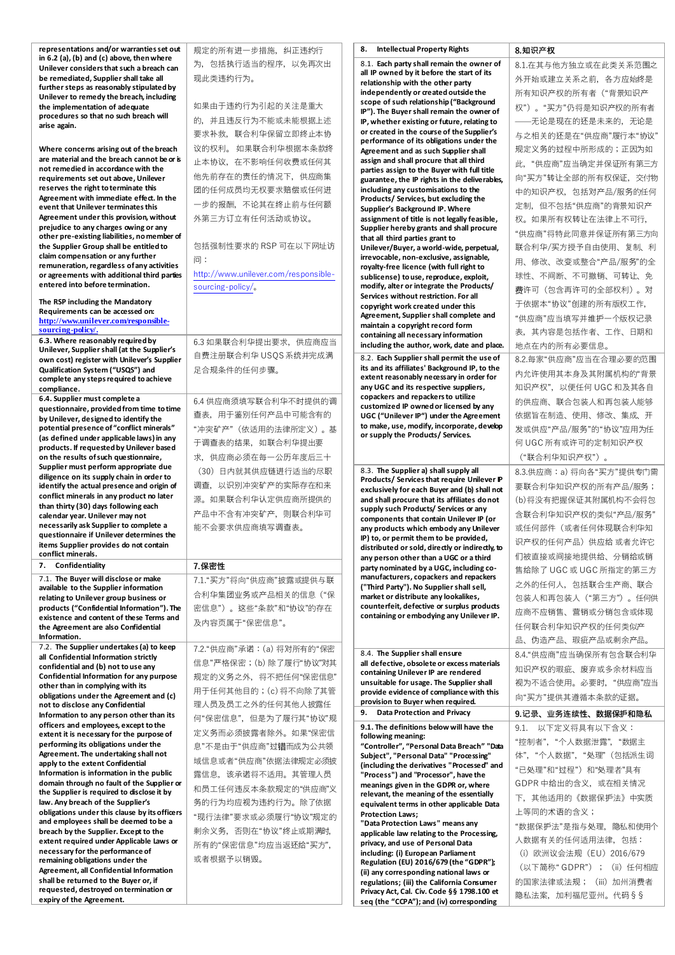| representations and/or warranties set out                                                | 规定的所有进一步措施, 纠正违约行                    | <b>Intellectual Property Rights</b><br>8.                                                   | 8.知识产权                                   |
|------------------------------------------------------------------------------------------|--------------------------------------|---------------------------------------------------------------------------------------------|------------------------------------------|
| in 6.2 (a), (b) and (c) above, then where<br>Unilever considers that such a breach can   | 为,包括执行适当的程序,以免再次出                    | 8.1. Each party shall remain the owner of                                                   | 8.1.在其与他方独立或在此类关系范围之                     |
| be remediated, Supplier shall take all                                                   | 现此类违约行为。                             | all IP owned by it before the start of its<br>relationship with the other party             | 外开始或建立关系之前,各方应始终是                        |
| further steps as reasonably stipulated by                                                |                                      | independently or created outside the                                                        | 所有知识产权的所有者("背景知识产                        |
| Unilever to remedy the breach, including<br>the implementation of adequate               | 如果由于违约行为引起的关注是重大                     | scope of such relationship ("Background                                                     | 权")。"买方"仍将是知识产权的所有者                      |
| procedures so that no such breach will                                                   | 的,并且违反行为不能或未能根据上述                    | IP"). The Buyer shall remain the owner of<br>IP, whether existing or future, relating to    | ——无论是现在的还是未来的,无论是                        |
| arise again.                                                                             | 要求补救,联合利华保留立即终止本协                    | or created in the course of the Supplier's                                                  | 与之相关的还是在"供应商"履行本"协议"                     |
| Where concerns arising out of the breach                                                 | 议的权利。 如果联合利华根据本条款终                   | performance of its obligations under the                                                    | 规定义务的过程中所形成的;正因为如                        |
| are material and the breach cannot be or is                                              | 止本协议, 在不影响任何收费或任何其                   | Agreement and as such Supplier shall<br>assign and shall procure that all third             |                                          |
| not remedied in accordance with the                                                      | 他先前存在的责任的情况下, 供应商集                   | parties assign to the Buyer with full title                                                 | 此,"供应商"应当确定并保证所有第三方                      |
| requirements set out above, Unilever<br>reserves the right to terminate this             |                                      | guarantee, the IP rights in the deliverables,<br>including any customisations to the        | 向"买方"转让全部的所有权保证,交付物                      |
| Agreement with immediate effect. In the                                                  | 团的任何成员均无权要求赔偿或任何进                    | Products/ Services, but excluding the                                                       | 中的知识产权,包括对产品/服务的任何                       |
| event that Unilever terminates this                                                      | 一步的报酬,不论其在终止前与任何额                    | Supplier's Background IP. Where                                                             | 定制, 但不包括"供应商"的背景知识产                      |
| Agreement under this provision, without<br>prejudice to any charges owing or any         | 外第三方订立有任何活动或协议。                      | assignment of title is not legally feasible,<br>Supplier hereby grants and shall procure    | 权。如果所有权转让在法律上不可行,                        |
| other pre-existing liabilities, no member of                                             |                                      | that all third parties grant to                                                             | "供应商"将特此同意并保证所有第三方向                      |
| the Supplier Group shall be entitled to<br>claim compensation or any further             | 包括强制性要求的 RSP 可在以下网址访                 | Unilever/Buyer, a world-wide, perpetual,<br>irrevocable, non-exclusive, assignable,         | 联合利华/买方授予自由使用、复制、利                       |
| remuneration, regardless of any activities                                               | 问:                                   | royalty-free licence (with full right to                                                    | 用、修改、改变或整合"产品/服务"的全                      |
| or agreements with additional third parties<br>entered into before termination.          | http://www.unilever.com/responsible- | sublicense) to use, reproduce, exploit,                                                     | 球性、不间断、不可撤销、可转让、免                        |
|                                                                                          | sourcing-policy/。                    | modify, alter or integrate the Products/<br>Services without restriction. For all           | 费许可(包含再许可的全部权利)。对                        |
| The RSP including the Mandatory                                                          |                                      | copyright work created under this                                                           | 于依据本"协议"创建的所有版权工作,                       |
| Requirements can be accessed on:<br>http://www.unilever.com/responsible-                 |                                      | Agreement, Supplier shall complete and                                                      | "供应商"应当填写并维护一个版权记录                       |
| sourcing-policy/.                                                                        |                                      | maintain a copyright record form<br>containing all necessary information                    | 表、其内容是包括作者、工作、日期和                        |
| 6.3. Where reasonably required by<br>Unilever, Supplier shall (at the Supplier's         | 6.3 如果联合利华提出要求, 供应商应当                | including the author, work, date and place.                                                 | 地点在内的所有必要信息。                             |
| own cost) register with Unilever's Supplier                                              | 自费注册联合利华 USQS 系统并完成满                 | 8.2. Each Supplier shall permit the use of                                                  | 8.2.每家"供应商"应当在合理必要的范围                    |
| Qualification System ("USQS") and<br>complete any steps required to achieve              | 足合规条件的任何步骤。                          | its and its affiliates' Background IP, to the<br>extent reasonably necessary in order for   | 内允许使用其本身及其附属机构的"背景                       |
| compliance.                                                                              |                                      | any UGC and its respective suppliers,                                                       | 知识产权", 以便任何 UGC 和及其各自                    |
| 6.4. Supplier must complete a                                                            | 6.4 供应商须填写联合利华不时提供的调                 | copackers and repackers to utilize<br>customized IP owned or licensed by any                | 的供应商、联合包装人和再包装人能够                        |
| questionnaire, provided from time to time<br>by Unilever, designed to identify the       | 查表, 用于鉴别任何产品中可能含有的                   | UGC ("Unilever IP") under the Agreement                                                     | 依据旨在制造、使用、修改、集成、开                        |
| potential presence of "conflict minerals"                                                | "冲突矿产"(依适用的法律所定义)。基                  | to make, use, modify, incorporate, develop                                                  | 发或供应"产品/服务"的"协议"应用为任                     |
| (as defined under applicable laws) in any                                                | 于调查表的结果,如联合利华提出要                     | or supply the Products/ Services.                                                           | 何 UGC 所有或许可的定制知识产权                       |
| products. If requested by Unilever based<br>on the results of such questionnaire,        | 求, 供应商必须在每一公历年度后三十                   |                                                                                             | ("联合利华知识产权")。                            |
| Supplier must perform appropriate due                                                    | (30) 日内就其供应链进行适当的尽职                  | 8.3. The Supplier a) shall supply all                                                       | 8.3.供应商:a) 将向各"买方"提供专门需                  |
| diligence on its supply chain in order to<br>identify the actual presence and origin of  | 调查,以识别冲突矿产的实际存在和来                    | Products/ Services that require Unilever P                                                  | 要联合利华知识产权的所有产品/服务;                       |
| conflict minerals in any product no later                                                | 源。如果联合利华认定供应商所提供的                    | exclusively for each Buyer and (b) shall not<br>and shall procure that its affiliates donot | (b)将没有把握保证其附属机构不会将包                      |
| than thirty (30) days following each<br>calendar year. Unilever may not                  | 产品中不含有冲突矿产,则联合利华可                    | supply such Products/ Services or any                                                       | 含联合利华知识产权的类似"产品/服务"                      |
| necessarily ask Supplier to complete a                                                   | 能不会要求供应商填写调查表。                       | components that contain Unilever IP (or<br>any products which embody any Unilever           | 或任何部件(或者任何体现联合利华知                        |
| questionnaire if Unilever determines the                                                 |                                      | IP) to, or permit them to be provided,                                                      | 识产权的任何产品)供应给或者允许它                        |
| items Supplier provides do not contain<br>conflict minerals.                             |                                      | distributed or sold, directly or indirectly, to                                             | 们被直接或间接地提供给、分销给或销                        |
| 7. Confidentiality                                                                       | 7.保密性                                | any person other than a UGC or a third<br>party nominated by a UGC, including co-           | 售给除了 UGC 或 UGC 所指定的第三方                   |
| 7.1. The Buyer will disclose or make                                                     | 7.1."买方"将向"供应商"披露或提供与联               | manufacturers, copackers and repackers                                                      | 之外的任何人,包括联合生产商、联合                        |
| available to the Supplier information<br>relating to Unilever group business or          | 合利华集团业务或产品相关的信息 ("保                  | ("Third Party"). No Supplier shall sell,<br>market or distribute any lookalikes,            | 包装人和再包装人("第三方")。任何供                      |
| products ("Confidential Information"). The                                               | 密信息")。这些"条款"和"协议"的存在                 | counterfeit, defective or surplus products                                                  | 应商不应销售、营销或分销包含或体现                        |
| existence and content of these Terms and                                                 | 及内容页属于"保密信息"。                        | containing or embodying any Unilever IP.                                                    | 任何联合利华知识产权的任何类似产                         |
| the Agreement are also Confidential<br>Information.                                      |                                      |                                                                                             | 品、伪造产品、瑕疵产品或剩余产品。                        |
| 7.2. The Supplier undertakes (a) to keep                                                 | 7.2."供应商"承诺: (a) 将对所有的"保密            | 8.4. The Supplier shall ensure                                                              | 8.4."供应商"应当确保所有包含联合利华                    |
| all Confidential Information strictly<br>confidential and (b) not to use any             | 信息"严格保密; (b) 除了履行"协议"对其              | all defective, obsolete or excess materials                                                 |                                          |
| Confidential Information for any purpose                                                 | 规定的义务之外,将不把任何"保密信息"                  | containing Unilever IP are rendered<br>unsuitable for usage. The Supplier shall             | 知识产权的瑕疵、废弃或多余材料应当<br>视为不适合使用。必要时,"供应商"应当 |
| other than in complying with its                                                         | 用于任何其他目的; (c) 将不向除了其管                | provide evidence of compliance with this                                                    |                                          |
| obligations under the Agreement and (c)<br>not to disclose any Confidential              | 理人员及员工之外的任何其他人披露任                    | provision to Buyer when required.                                                           | 向"买方"提供其遵循本条款的证据。                        |
| Information to any person other than its                                                 | 何"保密信息",但是为了履行其"协议"规                 | <b>Data Protection and Privacy</b><br>9.                                                    | 9.记录、业务连续性、数据保护和隐私                       |
| officers and employees, except to the<br>extent it is necessary for the purpose of       | 定义务而必须披露者除外。如果"保密信                   | 9.1. The definitions below will have the<br>following meaning:                              | 9.1. 以下定义将具有以下含义:                        |
| performing its obligations under the                                                     | 息"不是由于"供应商"过错而成为公共领                  | "Controller", "Personal Data Breach" "Data                                                  | "控制者","个人数据泄露","数据主                      |
| Agreement. The undertaking shall not<br>apply to the extent Confidential                 | 域信息或者"供应商"依据法律规定必须披                  | Subject", "Personal Data" "Processing"                                                      | 体","个人数据","处理"(包括派生词                     |
| Information is information in the public                                                 | 露信息,该承诺将不适用。其管理人员                    | (including the derivatives "Processed" and<br>"Process") and "Processor", have the          | "已处理"和"过程")和"处理者"具有                      |
| domain through no fault of the Supplier or<br>the Supplier is required to disclose it by | 和员工任何违反本条款规定的"供应商"义                  | meanings given in the GDPR or, where                                                        | GDPR 中给出的含义, 或在相关情况                      |
| law. Any breach of the Supplier's                                                        | 务的行为均应视为违约行为。除了依据                    | relevant, the meaning of the essentially<br>equivalent terms in other applicable Data       | 下, 其他适用的《数据保护法》中实质                       |
| obligations under this clause by its officers                                            | "现行法律"要求或必须履行"协议"规定的                 | <b>Protection Laws;</b>                                                                     | 上等同的术语的含义;                               |
| and employees shall be deemed to be a<br>breach by the Supplier. Except to the           | 剩余义务,否则在"协议"终止或期满时,                  | "Data Protection Laws" means any                                                            | "数据保护法"是指与处理,隐私和使用个                      |
| extent required under Applicable Laws or                                                 | 所有的"保密信息"均应当返还给"买方",                 | applicable law relating to the Processing,<br>privacy, and use of Personal Data             | 人数据有关的任何适用法律,包括:                         |
| necessary for the performance of                                                         | 或者根据予以销毁。                            | including: (i) European Parliament                                                          | (i) 欧洲议会法规 (EU) 2016/679                 |
| remaining obligations under the<br>Agreement, all Confidential Information               |                                      | Regulation (EU) 2016/679 (the "GDPR");<br>(ii) any corresponding national laws or           | (以下简称"GDPR"); (ii) 任何相应                  |
| shall be returned to the Buyer or, if                                                    |                                      | regulations; (iii) the California Consumer                                                  | 的国家法律或法规; (iii) 加州消费者                    |
| requested, destroyed on termination or<br>expiry of the Agreement.                       |                                      | Privacy Act, Cal. Civ. Code §§ 1798.100 et                                                  | 隐私法案, 加利福尼亚州。代码§§                        |
|                                                                                          |                                      | seq (the "CCPA"); and (iv) corresponding                                                    |                                          |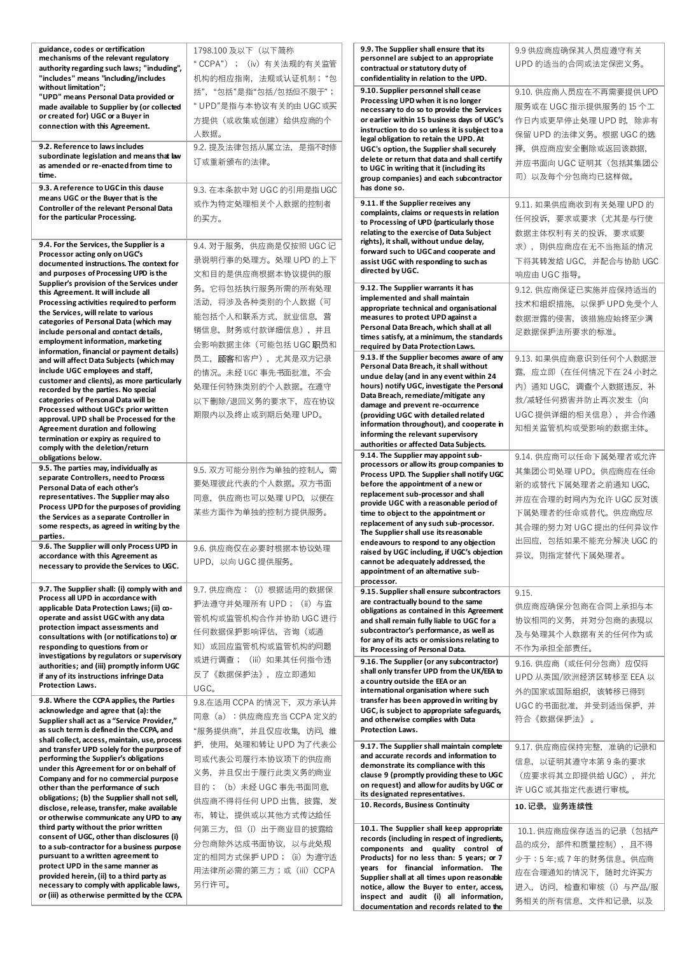|                                                                                        | 1798.100 及以下(以下简称         | 9.9. The Supplier shall ensure that its                                                  | 9.9 供应商应确保其人员应遵守有关                             |
|----------------------------------------------------------------------------------------|---------------------------|------------------------------------------------------------------------------------------|------------------------------------------------|
| mechanisms of the relevant regulatory                                                  | "CCPA"); (iv) 有关法规的有关监管   | personnel are subject to an appropriate<br>contractual or statutory duty of              | UPD 的适当的合同或法定保密义务。                             |
| authority regarding such laws; "induding",<br>"includes" means "including/includes     | 机构的相应指南, 法规或认证机制; "包      | confidentiality in relation to the UPD.                                                  |                                                |
| without limitation";                                                                   |                           |                                                                                          |                                                |
| "UPD" means Personal Data provided or                                                  | 括","包括"是指"包括/包括但不限于";     | 9.10. Supplier personnel shall cease                                                     | 9.10. 供应商人员应在不再需要提供 UPD                        |
| made available to Supplier by (or collected                                            | "UPD"是指与本协议有关的由UGC或买      | Processing UPD when it is no longer<br>necessary to do so to provide the Services        | 服务或在 UGC 指示提供服务的 15 个工                         |
| or created for) UGC or a Buyer in                                                      | 方提供(或收集或创建)给供应商的个         | or earlier within 15 business days of UGC's                                              | 作日内或更早停止处理 UPD 时, 除非有                          |
| connection with this Agreement.                                                        |                           | instruction to do so unless it is subject to a                                           |                                                |
|                                                                                        | 人数据。                      | legal obligation to retain the UPD. At                                                   | 保留 UPD 的法律义务。根据 UGC 的选                         |
| 9.2. Reference to laws includes                                                        | 9.2. 提及法律包括从属立法, 是指不时修    | UGC's option, the Supplier shall securely                                                | 择, 供应商应安全删除或返回该数据,                             |
| subordinate legislation and means that law                                             | 订或重新颁布的法律。                | delete or return that data and shall certify                                             | 并应书面向 UGC 证明其(包括其集团公                           |
| as amended or re-enacted from time to                                                  |                           | to UGC in writing that it (including its                                                 |                                                |
| time.                                                                                  |                           | group companies) and each subcontractor                                                  | 司)以及每个分包商均已这样做。                                |
| 9.3. A reference to UGC in this dause                                                  | 9.3. 在本条款中对 UGC 的引用是指 UGC | has done so.                                                                             |                                                |
| means UGC or the Buyer that is the                                                     | 或作为特定处理相关个人数据的控制者         | 9.11. If the Supplier receives any                                                       | 9.11. 如果供应商收到有关处理 UPD 的                        |
| Controller of the relevant Personal Data                                               |                           | complaints, claims or requests in relation                                               |                                                |
| for the particular Processing.                                                         | 的买方。                      | to Processing of UPD (particularly those                                                 | 任何投诉, 要求或要求 (尤其是与行使                            |
|                                                                                        |                           | relating to the exercise of Data Subject                                                 | 数据主体权利有关的投诉, 要求或要                              |
| 9.4. For the Services, the Supplier is a                                               | 9.4. 对于服务,供应商是仅按照 UGC 记   | rights), it shall, without undue delay,                                                  | 求), 则供应商应在无不当拖延的情况                             |
| Processor acting only on UGC's                                                         |                           | forward such to UGC and cooperate and                                                    |                                                |
| documented instructions. The context for                                               | 录说明行事的处理方。处理 UPD 的上下      | assist UGC with responding to such as                                                    | 下将其转发给 UGC,并配合与协助 UGC                          |
| and purposes of Processing UPD is the                                                  | 文和目的是供应商根据本协议提供的服         | directed by UGC.                                                                         | 响应由 UGC 指导。                                    |
| Supplier's provision of the Services under                                             | 务。它将包括执行服务所需的所有处理         | 9.12. The Supplier warrants it has                                                       | 9.12. 供应商保证已实施并应保持适当的                          |
| this Agreement. It will include all                                                    |                           | implemented and shall maintain                                                           |                                                |
| Processing activities required to perform                                              | 活动, 将涉及各种类别的个人数据 (可       | appropriate technical and organisational                                                 | 技术和组织措施, 以保护 UPD 免受个人                          |
| the Services, will relate to various<br>categories of Personal Data (which may         | 能包括个人和联系方式, 就业信息, 营       | measures to protect UPD against a                                                        | 数据泄露的侵害, 该措施应始终至少满                             |
| include personal and contact details,                                                  | 销信息, 财务或付款详细信息), 并且       | Personal Data Breach, which shall at all                                                 | 足数据保护法所要求的标准。                                  |
| employment information, marketing                                                      | 会影响数据主体 (可能包括 UGC 职员和     | times satisfy, at a minimum, the standards                                               |                                                |
| information, financial or payment details)                                             |                           | required by Data Protection Laws.                                                        |                                                |
| and will affect Data Subjects (which may                                               | 员工, 顾客和客户), 尤其是双方记录       | 9.13. If the Supplier becomes aware of any<br>Personal Data Breach, it shall without     | 9.13. 如果供应商意识到任何个人数据泄                          |
| include UGC employees and staff,                                                       | 的情况。未经 UGC 事先书面批准, 不会     | undue delay (and in any event within 24                                                  | 露, 应立即 (在任何情况下在24小时之                           |
| customer and clients), as more particularly                                            | 处理任何特殊类别的个人数据。在遵守         | hours) notify UGC, investigate the Personal                                              | 内) 通知 UGC, 调查个人数据违反, 补                         |
| recorded by the parties. No special                                                    |                           | Data Breach, remediate/mitigate any                                                      |                                                |
| categories of Personal Data will be                                                    | 以下删除/退回义务的要求下, 应在协议       | damage and prevent re-occurrence                                                         | 救/减轻任何损害并防止再次发生(向                              |
| Processed without UGC's prior written<br>approval. UPD shall be Processed for the      | 期限内以及终止或到期后处理 UPD。        | (providing UGC with detailed related                                                     | UGC提供详细的相关信息), 并合作通                            |
| Agreement duration and following                                                       |                           | information throughout), and cooperate in                                                | 知相关监管机构或受影响的数据主体。                              |
| termination or expiry as required to                                                   |                           | informing the relevant supervisory                                                       |                                                |
| comply with the deletion/return                                                        |                           | authorities or affected Data Subjects.                                                   |                                                |
| obligations below.                                                                     |                           | 9.14. The Supplier may appoint sub-                                                      | 9.14. 供应商可以任命下属处理者或允许                          |
| 9.5. The parties may, individually as                                                  | 9.5. 双方可能分别作为单独的控制人, 需    | processors or allow its group companies to<br>Process UPD. The Supplier shall notify UGC | 其集团公司处理 UPD。供应商应在任命                            |
| separate Controllers, need to Process                                                  | 要处理彼此代表的个人数据。双方书面         | before the appointment of a new or                                                       | 新的或替代下属处理者之前通知 UGC,                            |
| Personal Data of each other's                                                          |                           | replacement sub-processor and shall                                                      |                                                |
| representatives. The Supplier may also<br>Process UPD for the purposes of providing    | 同意,供应商也可以处理 UPD, 以便在      | provide UGC with a reasonable period of                                                  | 并应在合理的时间内为允许 UGC 反对该                           |
| the Services as a separate Controller in                                               | 某些方面作为单独的控制方提供服务。         | time to object to the appointment or                                                     | 下属处理者的任命或替代。供应商应尽                              |
| some respects, as agreed in writing by the                                             |                           | replacement of any such sub-processor.                                                   | 其合理的努力对 UGC 提出的任何异议作                           |
| parties.                                                                               |                           | The Supplier shall use its reasonable                                                    | 出回应,包括如果不能充分解决 UGC 的                           |
| 9.6. The Supplier will only Process UPD in                                             | 9.6. 供应商仅在必要时根据本协议处理      | endeavours to respond to any objection                                                   |                                                |
| accordance with this Agreement as                                                      | UPD, 以向 UGC 提供服务。         | raised by UGC including, if UGC's objection<br>cannot be adequately addressed, the       | 异议, 则指定替代下属处理者。                                |
| necessary to provide the Services to UGC.                                              |                           | appointment of an alternative sub-                                                       |                                                |
|                                                                                        |                           | processor.                                                                               |                                                |
|                                                                                        |                           |                                                                                          |                                                |
| 9.7. The Supplier shall: (i) comply with and                                           | 9.7. 供应商应: (i) 根据适用的数据保   | 9.15. Supplier shall ensure subcontractors                                               | 9.15.                                          |
| Process all UPD in accordance with                                                     |                           | are contractually bound to the same                                                      |                                                |
| applicable Data Protection Laws; (ii) co-                                              | 护法遵守并处理所有 UPD; (ii) 与监    | obligations as contained in this Agreement                                               | 供应商应确保分包商在合同上承担与本                              |
| operate and assist UGC with any data                                                   | 管机构或监管机构合作并协助 UGC 进行      | and shall remain fully liable to UGC for a                                               | 协议相同的义务,并对分包商的表现以                              |
| protection impact assessments and<br>consultations with (or notifications to) or       | 任何数据保护影响评估,咨询(或通          | subcontractor's performance, as well as                                                  | 及与处理其个人数据有关的任何作为或                              |
| responding to questions from or                                                        | 知) 或回应监管机构或监管机构的问题        | for any of its acts or omissions relating to                                             | 不作为承担全部责任。                                     |
| investigations by regulators or supervisory                                            |                           | its Processing of Personal Data.                                                         |                                                |
| authorities; and (iii) promptly inform UGC                                             | 或进行调查; (iii) 如果其任何指令违     | 9.16. The Supplier (or any subcontractor)                                                | 9.16. 供应商 (或任何分包商) 应仅将                         |
| if any of its instructions infringe Data                                               | 反了《数据保护法》,应立即通知           | shall only transfer UPD from the UK/EEA to                                               | UPD 从英国/欧洲经济区转移至 EEA 以                         |
| Protection Laws.                                                                       | UGC。                      | a country outside the EEA or an<br>international organisation where such                 |                                                |
| 9.8. Where the CCPA applies, the Parties                                               |                           | transfer has been approved in writing by                                                 | 外的国家或国际组织, 该转移已得到                              |
| acknowledge and agree that (a): the                                                    | 9.8.在适用 CCPA 的情况下, 双方承认并  | UGC, is subject to appropriate safeguards,                                               | UGC的书面批准,并受到适当保护,并                             |
| Supplier shall act as a "Service Provider,"                                            | 同意 (a) : 供应商应充当 CCPA 定义的  | and otherwise complies with Data                                                         | 符合《数据保护法》。                                     |
| as such term is defined in the CCPA, and                                               | "服务提供商",并且仅应收集,访问,维       | <b>Protection Laws.</b>                                                                  |                                                |
| shall collect, access, maintain, use, process                                          | 护, 使用, 处理和转让 UPD 为了代表公    | 9.17. The Supplier shall maintain complete                                               |                                                |
| and transfer UPD solely for the purpose of                                             |                           | and accurate records and information to                                                  | 9.17. 供应商应保持完整, 准确的记录和                         |
| performing the Supplier's obligations                                                  | 司或代表公司履行本协议项下的供应商         | demonstrate its compliance with this                                                     | 信息, 以证明其遵守本第9条的要求                              |
| under this Agreement for or on behalf of<br>Company and for no commercial purpose      | 义务, 并且仅出于履行此类义务的商业        | clause 9 (promptly providing these to UGC                                                | (应要求将其立即提供给 UGC), 并允                           |
| other than the performance of such                                                     | 目的; (b) 未经 UGC 事先书面同意,    | on request) and allow for audits by UGC or                                               |                                                |
| obligations; (b) the Supplier shall not sell,                                          |                           | its designated representatives.                                                          | 许 UGC 或其指定代表进行审核。                              |
| disclose, release, transfer, make available                                            | 供应商不得将任何 UPD 出售, 披露, 发    | 10. Records, Business Continuity                                                         | 10. 记录, 业务连续性                                  |
| or otherwise communicate any UPD to any                                                | 布,转让,提供或以其他方式传达给任         |                                                                                          |                                                |
| third party without the prior written                                                  | 何第三方, 但 (i) 出于商业目的披露给     | 10.1. The Supplier shall keep appropriate                                                | 10.1. 供应商应保存适当的记录 (包括产                         |
| consent of UGC, other than disclosures (i)                                             |                           | records (including in respect of ingredients,                                            |                                                |
| to a sub-contractor for a business purpose                                             | 分包商除外达成书面协议, 以与此处规        | components and quality control of                                                        | 品的成分,部件和质量控制),且不得                              |
| pursuant to a written agreement to                                                     | 定的相同方式保护 UPD; (ii) 为遵守适   | Products) for no less than: 5 years; or 7                                                | 少于:5年;或7年的财务信息。供应商                             |
| protect UPD in the same manner as                                                      | 用法律所必需的第三方;或(iii) CCPA    | years for financial information. The                                                     | 应在合理通知的情况下, 随时允许买方                             |
| provided herein, (ii) to a third party as<br>necessary to comply with applicable laws, | 另行许可。                     | Supplier shall at all times upon reasonable                                              |                                                |
| or (iii) as otherwise permitted by the CCPA                                            |                           | notice, allow the Buyer to enter, access,<br>inspect and audit (i) all information,      | 进入, 访问, 检查和审核 (i) 与产品/服<br>务相关的所有信息, 文件和记录, 以及 |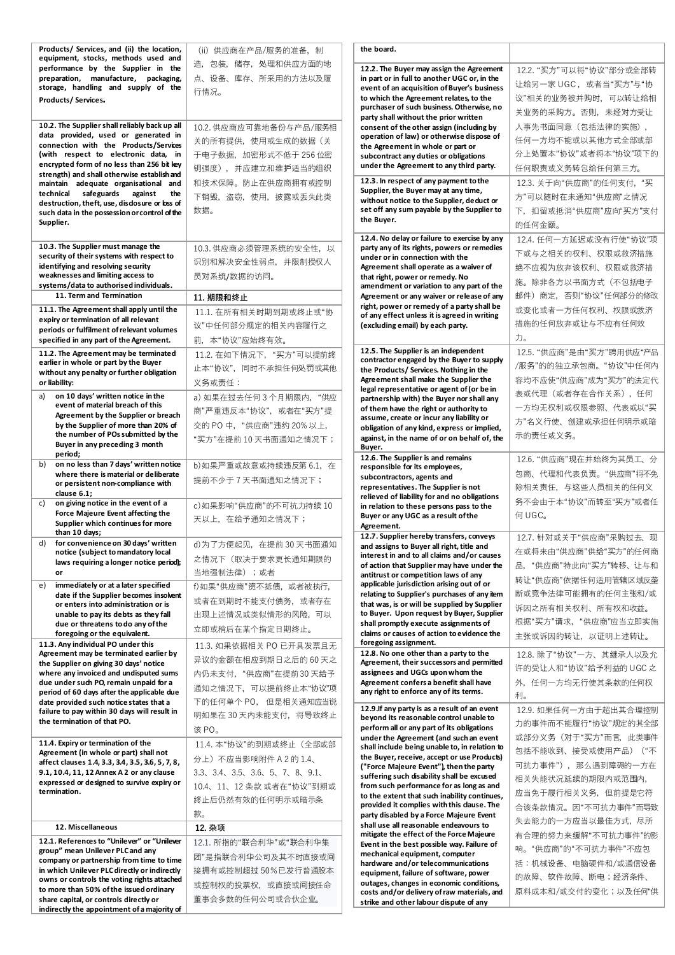| Products/ Services, and (ii) the location,<br>equipment, stocks, methods used and      | (ii) 供应商在产品/服务的准备, 制              | the board.                                                                                  |                                                 |
|----------------------------------------------------------------------------------------|-----------------------------------|---------------------------------------------------------------------------------------------|-------------------------------------------------|
| performance by the Supplier in the                                                     | 造, 包装, 储存, 处理和供应方面的地              | 12.2. The Buyer may assign the Agreement                                                    | 12.2. "买方"可以将"协议"部分或全部转                         |
| preparation, manufacture, packaging,                                                   | 点、设备、库存、所采用的方法以及履                 | in part or in full to another UGC or, in the                                                | 让给另一家 UGC, 或者当"买方"与"协                           |
| storage, handling and supply of the                                                    | 行情况。                              | event of an acquisition of Buyer's business<br>to which the Agreement relates, to the       | 议"相关的业务被并购时,可以转让给相                              |
| Products/Services.                                                                     |                                   | purchaser of such business. Otherwise, no                                                   | 关业务的采购方。否则,未经对方受让                               |
| 10.2. The Supplier shall reliably back up all                                          |                                   | party shall without the prior written                                                       | 人事先书面同意 (包括法律的实施),                              |
| data provided, used or generated in                                                    | 10.2. 供应商应可靠地备份与产品/服务相            | consent of the other assign (including by<br>operation of law) or otherwise dispose of      |                                                 |
| connection with the Products/Services                                                  | 关的所有提供, 使用或生成的数据 (关               | the Agreement in whole or part or                                                           | 任何一方均不能或以其他方式全部或部                               |
| (with respect to electronic data, in<br>encrypted form of no less than 256 bit key     | 于电子数据, 加密形式不低于 256 位密             | subcontract any duties or obligations<br>under the Agreement to any third party.            | 分上处置本"协议"或者将本"协议"项下的                            |
| strength) and shall otherwise establish and                                            | 钥强度), 并应建立和维护适当的组织                |                                                                                             | 任何职责或义务转包给任何第三方。                                |
| maintain adequate organisational and<br>technical safeguards<br>against<br>the         | 和技术保障。防止在供应商拥有或控制                 | 12.3. In respect of any payment to the<br>Supplier, the Buyer may at any time,              | 12.3. 关于向"供应商"的任何支付, "买                         |
| destruction, theft, use, disdosure or loss of                                          | 下销毁, 盗窃, 使用, 披露或丢失此类              | without notice to the Supplier, deduct or                                                   | 方"可以随时在未通知"供应商"之情况                              |
| such data in the possession or control of the                                          | 数据。                               | set off any sum payable by the Supplier to<br>the Buyer.                                    | 下, 扣留或抵消"供应商"应向"买方"支付                           |
| Supplier.                                                                              |                                   |                                                                                             | 的任何金额。                                          |
| 10.3. The Supplier must manage the                                                     | 10.3. 供应商必须管理系统的安全性, 以            | 12.4. No delay or failure to exercise by any<br>party any of its rights, powers or remedies | 12.4. 任何一方延迟或没有行使"协议"项                          |
| security of their systems with respect to                                              | 识别和解决安全性弱点,并限制授权人                 | under or in connection with the                                                             | 下或与之相关的权利、权限或救济措施                               |
| identifying and resolving security<br>weaknesses and limiting access to                | 员对系统/数据的访问。                       | Agreement shall operate as a waiver of                                                      | 绝不应视为放弃该权利、权限或救济措                               |
| systems/data to authorised individuals.                                                |                                   | that right, power or remedy. No<br>amendment or variation to any part of the                | 施。除非各方以书面方式(不包括电子                               |
| 11. Term and Termination                                                               | 11. 期限和终止                         | Agreement or any waiver or release of any                                                   | 邮件)商定,否则"协议"任何部分的修改                             |
| 11.1. The Agreement shall apply until the                                              | 11.1. 在所有相关时期到期或终止或"协             | right, power or remedy of a party shall be<br>of any effect unless it is agreed in writing  | 或变化或者一方任何权利、权限或救济                               |
| expiry or termination of all relevant<br>periods or fulfilment of relevant volumes     | 议"中任何部分规定的相关内容履行之                 | (excluding email) by each party.                                                            | 措施的任何放弃或让与不应有任何效                                |
| specified in any part of the Agreement.                                                | 前,本"协议"应始终有效。                     |                                                                                             | 力。                                              |
| 11.2. The Agreement may be terminated                                                  | 11.2. 在如下情况下, "买方"可以提前终           | 12.5. The Supplier is an independent<br>contractor engaged by the Buyer to supply           | 12.5. "供应商"是由"买方"聘用供应"产品                        |
| earlier in whole or part by the Buyer<br>without any penalty or further obligation     | 止本"协议",同时不承担任何处罚或其他               | the Products/ Services. Nothing in the                                                      | /服务"的的独立承包商。"协议"中任何内                            |
| or liability:                                                                          | 义务或责任:                            | Agreement shall make the Supplier the                                                       | 容均不应使"供应商"成为"买方"的法定代                            |
| on 10 days' written notice in the<br>a)                                                | a) 如果在过去任何 3 个月期限内, "供应           | legal representative or agent of (or be in<br>partnership with) the Buyer nor shall any     | 表或代理(或者存在合作关系),任何                               |
| event of material breach of this<br>Agreement by the Supplier or breach                | 商"严重违反本"协议", 或者在"买方"提             | of them have the right or authority to                                                      | 一方均无权利或权限参照、代表或以"买                              |
| by the Supplier of more than 20% of                                                    | 交的 PO 中, "供应商"违约 20% 以上,          | assume, create or incur any liability or<br>obligation of any kind, express or implied,     | 方"名义行使、创建或承担任何明示或暗                              |
| the number of POs submitted by the                                                     | "买方"在提前 10 天书面通知之情况下;             | against, in the name of or on behalf of, the                                                | 示的责任或义务。                                        |
| Buyer in any preceding 3 month<br>period;                                              |                                   | Buyer.                                                                                      |                                                 |
| on no less than 7 days' written notice<br>b)                                           | b)如果严重或故意或持续违反第 6.1, 在            | 12.6. The Supplier is and remains<br>responsible for its employees,                         | 12.6. "供应商"现在并始终为其员工、分                          |
| where there is material or deliberate<br>or persistent non-compliance with             | 提前不少于 7 天书面通知之情况下;                | subcontractors, agents and                                                                  | 包商、代理和代表负责。"供应商"将不免                             |
| clause 6.1;                                                                            |                                   | representatives. The Supplier is not<br>relieved of liability for and no obligations        | 除相关责任,与这些人员相关的任何义                               |
| on giving notice in the event of a<br>c)<br>Force Majeure Event affecting the          | c)如果影响"供应商"的不可抗力持续10              | in relation to these persons pass to the                                                    | 务不会由于本"协议"而转至"买方"或者任                            |
| Supplier which continues for more                                                      | 天以上, 在给予通知之情况下;                   | Buyer or any UGC as a result of the<br>Agreement.                                           | 何UGC。                                           |
| than 10 days;                                                                          |                                   | 12.7. Supplier hereby transfers, conveys                                                    | 12.7. 针对或关于"供应商"采购过去、现                          |
| for convenience on 30 days' written<br>d)<br>notice (subject to mandatory local        | d)为了方便起见, 在提前 30 天书面通知            | and assigns to Buyer all right, title and<br>interest in and to all claims and/or causes    | 在或将来由"供应商"供给"买方"的任何商                            |
| laws requiring a longer notice period);                                                | 之情况下(取决于要求更长通知期限的                 | of action that Supplier may have under the                                                  | 品,"供应商"特此向"买方"转移、让与和                            |
| or                                                                                     | 当地强制法律);或者                        | antitrust or competition laws of any<br>applicable jurisdiction arising out of or           | 转让"供应商"依据任何适用管辖区域反垄                             |
| immediately or at a later specified<br>e)<br>date if the Supplier becomes insolvent    | f)如果"供应商"资不抵债, 或者被执行,             | relating to Supplier's purchases of any item                                                | 断或竞争法律可能拥有的任何主张和/或                              |
| or enters into administration or is                                                    | 或者在到期时不能支付债务, 或者存在                | that was, is or will be supplied by Supplier                                                | 诉因之所有相关权利、所有权和收益。                               |
| unable to pay its debts as they fall<br>due or threatens to do any of the              | 出现上述情况或类似情形的风险, 可以                | to Buyer. Upon request by Buyer, Supplier<br>shall promptly execute assignments of          | 根据"买方"请求, "供应商"应当立即实施                           |
| foregoing or the equivalent.                                                           | 立即或稍后在某个指定日期终止。                   | claims or causes of action to evidence the                                                  | 主张或诉因的转让,以证明上述转让。                               |
| 11.3. Any individual PO under this<br>Agreement may be terminated earlier by           | 11.3. 如果依据相关 PO 已开具发票且无           | foregoing assignment.<br>12.8. No one other than a party to the                             |                                                 |
| the Supplier on giving 30 days' notice                                                 | 异议的金额在相应到期日之后的60天之                | Agreement, their successors and permitted                                                   | 12.8. 除了"协议"一方、其继承人以及允<br>许的受让人和"协议"给予利益的 UGC 之 |
| where any invoiced and undisputed sums<br>due under such PO, remain unpaid for a       | 内仍未支付, "供应商"在提前30天给予              | assignees and UGCs upon whom the                                                            |                                                 |
| period of 60 days after the applicable due                                             | 通知之情况下, 可以提前终止本"协议"项              | Agreement confers a benefit shall have<br>any right to enforce any of its terms.            | 外,任何一方均无行使其条款的任何权<br>利。                         |
| date provided such notice states that a                                                | 下的任何单个 PO, 但是相关通知应当说              | 12.9. If any party is as a result of an event                                               | 12.9. 如果任何一方由于超出其合理控制                           |
| failure to pay within 30 days will result in<br>the termination of that PO.            | 明如果在 30 天内未能支付, 将导致终止             | beyond its reasonable control unable to                                                     | 力的事件而不能履行"协议"规定的其全部                             |
|                                                                                        | 该PO。                              | perform all or any part of its obligations<br>under the Agreement (and such an event        | 或部分义务(对于"买方"而言,此类事件                             |
| 11.4. Expiry or termination of the<br>Agreement (in whole or part) shall not           | 11.4. 本"协议"的到期或终止 (全部或部           | shall include being unable to, in relation to                                               | 包括不能收到、接受或使用产品) ("不                             |
| affect clauses 1.4, 3.3, 3.4, 3.5, 3.6, 5, 7, 8,                                       | 分上) 不应当影响附件 A 2 的 1.4、            | the Buyer, receive, accept or use Products)                                                 | 可抗力事件"), 那么遇到障碍的一方在                             |
| 9.1, 10.4, 11, 12 Annex A 2 or any clause                                              | 3.3, 3.4, 3.5, 3.6, 5, 7, 8, 9.1, | ("Force Majeure Event"), then the party<br>suffering such disability shall be excused       | 相关失能状况延续的期限内或范围内,                               |
| expressed or designed to survive expiry or<br>termination.                             | 10.4、11、12 条款 或者在"协议"到期或          | from such performance for as long as and                                                    | 应当免于履行相关义务,但前提是它符                               |
|                                                                                        | 终止后仍然有效的任何明示或暗示条                  | to the extent that such inability continues,<br>provided it complies with this dause. The   | 合该条款情况。因"不可抗力事件"而导致                             |
|                                                                                        | 款。                                | party disabled by a Force Majeure Event                                                     | 失去能力的一方应当以最佳方式, 尽所                              |
| 12. Miscellaneous                                                                      | 12. 杂项                            | shall use all reasonable endeavours to<br>mitigate the effect of the Force Majeure          | 有合理的努力来缓解"不可抗力事件"的影                             |
| 12.1. References to "Unilever" or "Unilever<br>group" mean Unilever PLC and any        | 12.1. 所指的"联合利华"或"联合利华集            | Event in the best possible way. Failure of                                                  | 响。"供应商"的"不可抗力事件"不应包                             |
| company or partnership from time to time                                               | 团"是指联合利华公司及其不时直接或间                | mechanical equipment, computer<br>hardware and/or telecommunications                        | 括:机械设备、电脑硬件和/或通信设备                              |
| in which Unilever PLC directly or indirectly                                           | 接拥有或控制超过50%已发行普通股本                | equipment, failure of software, power                                                       | 的故障、软件故障、断电;经济条件、                               |
| owns or controls the voting rights attached<br>to more than 50% of the issued ordinary | 或控制权的投票权, 或直接或间接任命                | outages, changes in economic conditions,                                                    | 原料成本和/或交付的变化;以及任何"供                             |
| share capital, or controls directly or                                                 | 董事会多数的任何公司或合伙企业。                  | costs and/or delivery of raw materials, and<br>strike and other labour dispute of any       |                                                 |
| indirectly the appointment of a majority of                                            |                                   |                                                                                             |                                                 |